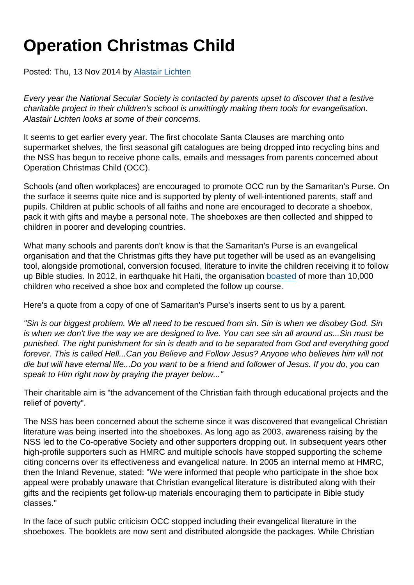## Operation Christmas Child

Posted: Thu, 13 Nov 2014 by [Alastair Lichten](https://www.secularism.org.uk/opinion/authors/847)

Every year the National Secular Society is contacted by parents upset to discover that a festive charitable project in their children's school is unwittingly making them tools for evangelisation. Alastair Lichten looks at some of their concerns.

It seems to get earlier every year. The first chocolate Santa Clauses are marching onto supermarket shelves, the first seasonal gift catalogues are being dropped into recycling bins and the NSS has begun to receive phone calls, emails and messages from parents concerned about Operation Christmas Child (OCC).

Schools (and often workplaces) are encouraged to promote OCC run by the Samaritan's Purse. On the surface it seems quite nice and is supported by plenty of well-intentioned parents, staff and pupils. Children at public schools of all faiths and none are encouraged to decorate a shoebox, pack it with gifts and maybe a personal note. The shoeboxes are then collected and shipped to children in poorer and developing countries.

What many schools and parents don't know is that the Samaritan's Purse is an evangelical organisation and that the Christmas gifts they have put together will be used as an evangelising tool, alongside promotional, conversion focused, literature to invite the children receiving it to follow up Bible studies. In 2012, in earthquake hit Haiti, the organisation [boasted](http://www.samaritanspurse.org/article/thousands-take-the-greatest-journey/) of more than 10,000 children who received a shoe box and completed the follow up course.

Here's a quote from a copy of one of Samaritan's Purse's inserts sent to us by a parent.

"Sin is our biggest problem. We all need to be rescued from sin. Sin is when we disobey God. Sin is when we don't live the way we are designed to live. You can see sin all around us...Sin must be punished. The right punishment for sin is death and to be separated from God and everything good forever. This is called Hell...Can you Believe and Follow Jesus? Anyone who believes him will not die but will have eternal life...Do you want to be a friend and follower of Jesus. If you do, you can speak to Him right now by praying the prayer below..."

Their charitable aim is "the advancement of the Christian faith through educational projects and the relief of poverty".

The NSS has been concerned about the scheme since it was discovered that evangelical Christian literature was being inserted into the shoeboxes. As long ago as 2003, awareness raising by the NSS led to the Co-operative Society and other supporters dropping out. In subsequent years other high-profile supporters such as HMRC and multiple schools have stopped supporting the scheme citing concerns over its effectiveness and evangelical nature. In 2005 an internal memo at HMRC, then the Inland Revenue, stated: "We were informed that people who participate in the shoe box appeal were probably unaware that Christian evangelical literature is distributed along with their gifts and the recipients get follow-up materials encouraging them to participate in Bible study classes."

In the face of such public criticism OCC stopped including their evangelical literature in the shoeboxes. The booklets are now sent and distributed alongside the packages. While Christian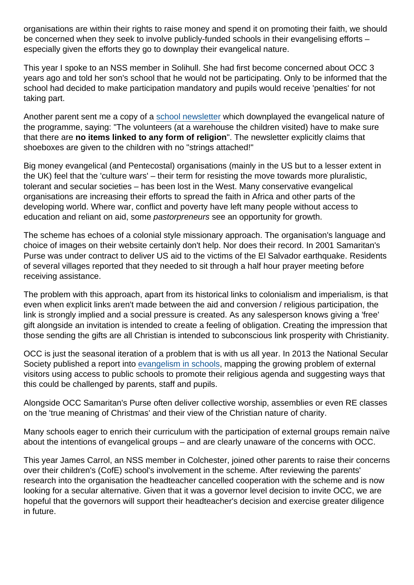organisations are within their rights to raise money and spend it on promoting their faith, we should be concerned when they seek to involve publicly-funded schools in their evangelising efforts – especially given the efforts they go to downplay their evangelical nature.

This year I spoke to an NSS member in Solihull. She had first become concerned about OCC 3 years ago and told her son's school that he would not be participating. Only to be informed that the school had decided to make participation mandatory and pupils would receive 'penalties' for not taking part.

Another parent sent me a copy of a [school newsletter](http://www.shepleyschool.org.uk/kgfl/primary/shepleypri/arenas/website/web/newsletter05(1).pdf) which downplayed the evangelical nature of the programme, saying: "The volunteers (at a warehouse the children visited) have to make sure that there are no items linked to any form of religion ". The newsletter explicitly claims that shoeboxes are given to the children with no "strings attached!"

Big money evangelical (and Pentecostal) organisations (mainly in the US but to a lesser extent in the UK) feel that the 'culture wars' – their term for resisting the move towards more pluralistic, tolerant and secular societies – has been lost in the West. Many conservative evangelical organisations are increasing their efforts to spread the faith in Africa and other parts of the developing world. Where war, conflict and poverty have left many people without access to education and reliant on aid, some pastorpreneurs see an opportunity for growth.

The scheme has echoes of a colonial style missionary approach. The organisation's language and choice of images on their website certainly don't help. Nor does their record. In 2001 Samaritan's Purse was under contract to deliver US aid to the victims of the EI Salvador earthquake. Residents of several villages reported that they needed to sit through a half hour prayer meeting before receiving assistance.

The problem with this approach, apart from its historical links to colonialism and imperialism, is that even when explicit links aren't made between the aid and conversion / religious participation, the link is strongly implied and a social pressure is created. As any salesperson knows giving a 'free' gift alongside an invitation is intended to create a feeling of obligation. Creating the impression that those sending the gifts are all Christian is intended to subconscious link prosperity with Christianity.

OCC is just the seasonal iteration of a problem that is with us all year. In 2013 the National Secular Society published a report into [evangelism in schools](https://www.secularism.org.uk/evangelism-in-schools.html), mapping the growing problem of external visitors using access to public schools to promote their religious agenda and suggesting ways that this could be challenged by parents, staff and pupils.

Alongside OCC Samaritan's Purse often deliver collective worship, assemblies or even RE classes on the 'true meaning of Christmas' and their view of the Christian nature of charity.

Many schools eager to enrich their curriculum with the participation of external groups remain naïve about the intentions of evangelical groups – and are clearly unaware of the concerns with OCC.

This year James Carrol, an NSS member in Colchester, joined other parents to raise their concerns over their children's (CofE) school's involvement in the scheme. After reviewing the parents' research into the organisation the headteacher cancelled cooperation with the scheme and is now looking for a secular alternative. Given that it was a governor level decision to invite OCC, we are hopeful that the governors will support their headteacher's decision and exercise greater diligence in future.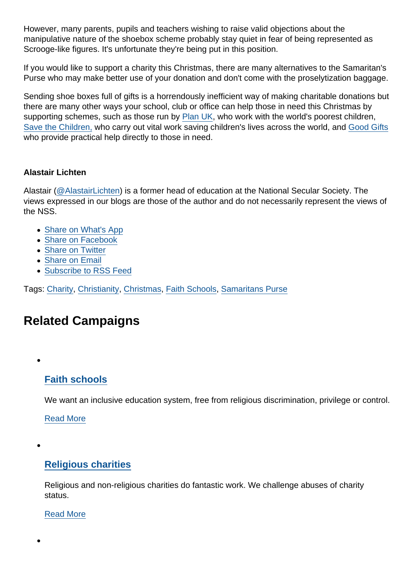However, many parents, pupils and teachers wishing to raise valid objections about the manipulative nature of the shoebox scheme probably stay quiet in fear of being represented as Scrooge-like figures. It's unfortunate they're being put in this position.

If you would like to support a charity this Christmas, there are many alternatives to the Samaritan's Purse who may make better use of your donation and don't come with the proselytization baggage.

Sending shoe boxes full of gifts is a horrendously inefficient way of making charitable donations but there are many other ways your school, club or office can help those in need this Christmas by supporting schemes, such as those run by [Plan UK](http://www.plan-uk.org/sponsor-a-child/), who work with the world's poorest children, [Save the Children,](http://shop.savethechildren.org.uk/product/school-supplies/) who carry out vital work saving children's lives across the world, and [Good Gifts](https://www.goodgifts.org/browse-categories/education.html) who provide practical help directly to those in need.

## Alastair Lichten

Alastair [\(@AlastairLichten](https://twitter.com/alastairlichten)) is a former head of education at the National Secular Society. The views expressed in our blogs are those of the author and do not necessarily represent the views of the NSS.

- [Share on What's App](whatsapp://send?text=http://www.secularism.org.uk/opinion/2014/11/operation-christmas-child?format=pdf)
- [Share on Facebook](https://www.facebook.com/sharer/sharer.php?u=http://www.secularism.org.uk/opinion/2014/11/operation-christmas-child?format=pdf&t=Operation+Christmas+Child)
- [Share on Twitter](https://twitter.com/intent/tweet?url=http://www.secularism.org.uk/opinion/2014/11/operation-christmas-child?format=pdf&text=Operation+Christmas+Child&via=NatSecSoc)
- [Share on Email](https://www.secularism.org.uk/share.html?url=http://www.secularism.org.uk/opinion/2014/11/operation-christmas-child?format=pdf&title=Operation+Christmas+Child)
- [Subscribe to RSS Feed](/mnt/web-data/www/cp-nss/feeds/rss/news)

Tags: [Charity](https://www.secularism.org.uk/opinion/tags/Charity), [Christianity](https://www.secularism.org.uk/opinion/tags/Christianity), [Christmas](https://www.secularism.org.uk/opinion/tags/Christmas), [Faith Schools](https://www.secularism.org.uk/opinion/tags/Faith+Schools), [Samaritans Purse](https://www.secularism.org.uk/opinion/tags/Samaritans+Purse)

## Related Campaigns

[Faith schools](https://www.secularism.org.uk/faith-schools/)

We want an inclusive education system, free from religious discrimination, privilege or control.

[Read More](https://www.secularism.org.uk/faith-schools/)

## [Religious charities](https://www.secularism.org.uk/charities/)

Religious and non-religious charities do fantastic work. We challenge abuses of charity status.

[Read More](https://www.secularism.org.uk/charities/)